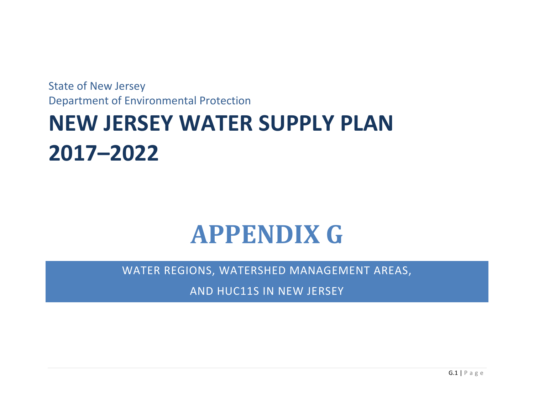State of New Jersey Department of Environmental Protection

## **NEW JERSEY WATER SUPPLY PLAN 2017–2022**

## **APPENDIX G**

WATER REGIONS, WATERSHED MANAGEMENT AREAS,

AND HUC11S IN NEW JERSEY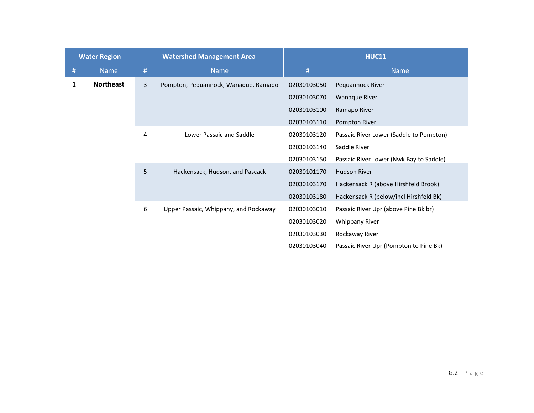|   | <b>Water Region</b> | <b>Watershed Management Area</b> |                                       | <b>HUC11</b> |                                         |
|---|---------------------|----------------------------------|---------------------------------------|--------------|-----------------------------------------|
| # | <b>Name</b>         | #                                | <b>Name</b>                           | #            | <b>Name</b>                             |
| 1 | <b>Northeast</b>    | 3                                | Pompton, Pequannock, Wanaque, Ramapo  | 02030103050  | Pequannock River                        |
|   |                     |                                  |                                       | 02030103070  | <b>Wanaque River</b>                    |
|   |                     |                                  |                                       | 02030103100  | Ramapo River                            |
|   |                     |                                  |                                       | 02030103110  | Pompton River                           |
|   |                     | 4                                | Lower Passaic and Saddle              | 02030103120  | Passaic River Lower (Saddle to Pompton) |
|   |                     |                                  |                                       | 02030103140  | Saddle River                            |
|   |                     |                                  |                                       | 02030103150  | Passaic River Lower (Nwk Bay to Saddle) |
|   |                     | 5                                | Hackensack, Hudson, and Pascack       | 02030101170  | <b>Hudson River</b>                     |
|   |                     |                                  |                                       | 02030103170  | Hackensack R (above Hirshfeld Brook)    |
|   |                     |                                  |                                       | 02030103180  | Hackensack R (below/incl Hirshfeld Bk)  |
|   |                     | 6                                | Upper Passaic, Whippany, and Rockaway | 02030103010  | Passaic River Upr (above Pine Bk br)    |
|   |                     |                                  |                                       | 02030103020  | <b>Whippany River</b>                   |
|   |                     |                                  |                                       | 02030103030  | Rockaway River                          |
|   |                     |                                  |                                       | 02030103040  | Passaic River Upr (Pompton to Pine Bk)  |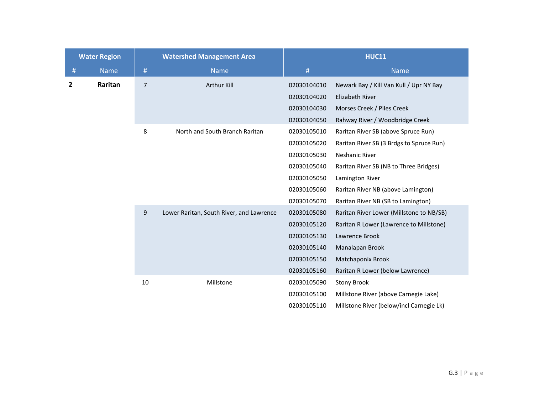| <b>Water Region</b> |             | <b>Watershed Management Area</b> |                                          | <b>HUC11</b>                        |                                          |  |
|---------------------|-------------|----------------------------------|------------------------------------------|-------------------------------------|------------------------------------------|--|
| #                   | <b>Name</b> | #                                | <b>Name</b>                              | $\#$                                | <b>Name</b>                              |  |
| $\mathbf{2}$        | Raritan     | $\overline{7}$                   | Arthur Kill                              | 02030104010                         | Newark Bay / Kill Van Kull / Upr NY Bay  |  |
|                     |             |                                  |                                          | 02030104020                         | Elizabeth River                          |  |
|                     |             |                                  |                                          | 02030104030                         | Morses Creek / Piles Creek               |  |
|                     |             |                                  |                                          | 02030104050                         | Rahway River / Woodbridge Creek          |  |
|                     | 8           | North and South Branch Raritan   | 02030105010                              | Raritan River SB (above Spruce Run) |                                          |  |
|                     |             |                                  |                                          | 02030105020                         | Raritan River SB (3 Brdgs to Spruce Run) |  |
|                     |             |                                  |                                          | 02030105030                         | Neshanic River                           |  |
|                     |             |                                  |                                          | 02030105040                         | Raritan River SB (NB to Three Bridges)   |  |
|                     |             |                                  |                                          | 02030105050                         | Lamington River                          |  |
|                     |             |                                  |                                          | 02030105060                         | Raritan River NB (above Lamington)       |  |
|                     |             |                                  |                                          | 02030105070                         | Raritan River NB (SB to Lamington)       |  |
|                     |             | 9                                | Lower Raritan, South River, and Lawrence | 02030105080                         | Raritan River Lower (Millstone to NB/SB) |  |
|                     |             |                                  |                                          | 02030105120                         | Raritan R Lower (Lawrence to Millstone)  |  |
|                     |             |                                  |                                          | 02030105130                         | Lawrence Brook                           |  |
|                     |             |                                  |                                          | 02030105140                         | Manalapan Brook                          |  |
|                     |             |                                  |                                          | 02030105150                         | Matchaponix Brook                        |  |
|                     |             |                                  |                                          | 02030105160                         | Raritan R Lower (below Lawrence)         |  |
|                     |             | 10                               | Millstone                                | 02030105090                         | <b>Stony Brook</b>                       |  |
|                     |             |                                  |                                          | 02030105100                         | Millstone River (above Carnegie Lake)    |  |
|                     |             |                                  |                                          | 02030105110                         | Millstone River (below/incl Carnegie Lk) |  |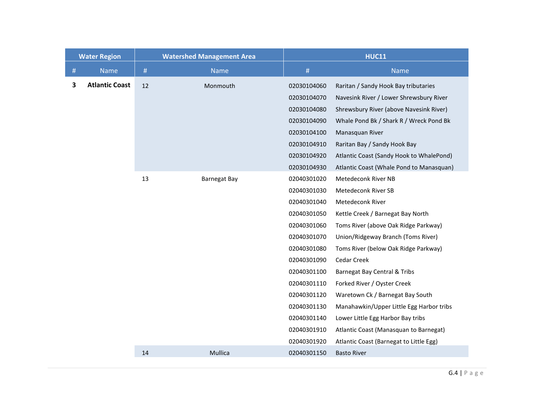|   | <b>Water Region</b>   |      | <b>Watershed Management Area</b> |             | <b>HUC11</b>                             |  |
|---|-----------------------|------|----------------------------------|-------------|------------------------------------------|--|
| # | <b>Name</b>           | $\#$ | <b>Name</b>                      | #           | <b>Name</b>                              |  |
| 3 | <b>Atlantic Coast</b> | 12   | Monmouth                         | 02030104060 | Raritan / Sandy Hook Bay tributaries     |  |
|   |                       |      |                                  | 02030104070 | Navesink River / Lower Shrewsbury River  |  |
|   |                       |      |                                  | 02030104080 | Shrewsbury River (above Navesink River)  |  |
|   |                       |      |                                  | 02030104090 | Whale Pond Bk / Shark R / Wreck Pond Bk  |  |
|   |                       |      |                                  | 02030104100 | Manasquan River                          |  |
|   |                       |      |                                  | 02030104910 | Raritan Bay / Sandy Hook Bay             |  |
|   |                       |      |                                  | 02030104920 | Atlantic Coast (Sandy Hook to WhalePond) |  |
|   |                       |      |                                  | 02030104930 | Atlantic Coast (Whale Pond to Manasquan) |  |
|   |                       | 13   | <b>Barnegat Bay</b>              | 02040301020 | Metedeconk River NB                      |  |
|   |                       |      |                                  | 02040301030 | Metedeconk River SB                      |  |
|   |                       |      |                                  | 02040301040 | Metedeconk River                         |  |
|   |                       |      |                                  | 02040301050 | Kettle Creek / Barnegat Bay North        |  |
|   |                       |      |                                  | 02040301060 | Toms River (above Oak Ridge Parkway)     |  |
|   |                       |      |                                  | 02040301070 | Union/Ridgeway Branch (Toms River)       |  |
|   |                       |      |                                  | 02040301080 | Toms River (below Oak Ridge Parkway)     |  |
|   |                       |      |                                  | 02040301090 | Cedar Creek                              |  |
|   |                       |      |                                  | 02040301100 | Barnegat Bay Central & Tribs             |  |
|   |                       |      |                                  | 02040301110 | Forked River / Oyster Creek              |  |
|   |                       |      |                                  | 02040301120 | Waretown Ck / Barnegat Bay South         |  |
|   |                       |      |                                  | 02040301130 | Manahawkin/Upper Little Egg Harbor tribs |  |
|   |                       |      |                                  | 02040301140 | Lower Little Egg Harbor Bay tribs        |  |
|   |                       |      |                                  | 02040301910 | Atlantic Coast (Manasquan to Barnegat)   |  |
|   |                       |      |                                  | 02040301920 | Atlantic Coast (Barnegat to Little Egg)  |  |
|   |                       | 14   | Mullica                          | 02040301150 | <b>Basto River</b>                       |  |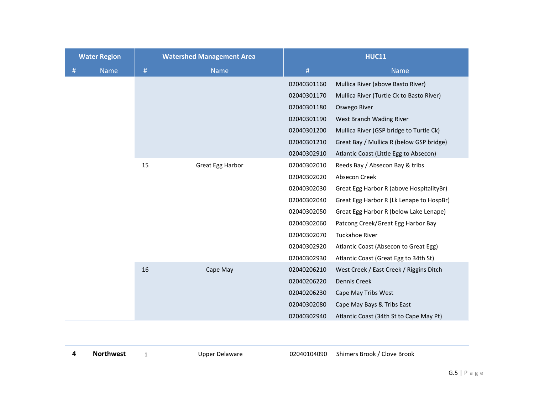|   | <b>Water Region</b> | <b>Watershed Management Area</b> |                  | <b>HUC11</b> |                                          |
|---|---------------------|----------------------------------|------------------|--------------|------------------------------------------|
| # | <b>Name</b>         | #                                | Name             | #            | <b>Name</b>                              |
|   |                     |                                  |                  | 02040301160  | Mullica River (above Basto River)        |
|   |                     |                                  |                  | 02040301170  | Mullica River (Turtle Ck to Basto River) |
|   |                     |                                  |                  | 02040301180  | Oswego River                             |
|   |                     |                                  |                  | 02040301190  | West Branch Wading River                 |
|   |                     |                                  |                  | 02040301200  | Mullica River (GSP bridge to Turtle Ck)  |
|   |                     |                                  |                  | 02040301210  | Great Bay / Mullica R (below GSP bridge) |
|   |                     |                                  |                  | 02040302910  | Atlantic Coast (Little Egg to Absecon)   |
|   |                     | 15                               | Great Egg Harbor | 02040302010  | Reeds Bay / Absecon Bay & tribs          |
|   |                     |                                  |                  | 02040302020  | Absecon Creek                            |
|   |                     |                                  |                  | 02040302030  | Great Egg Harbor R (above HospitalityBr) |
|   |                     |                                  |                  | 02040302040  | Great Egg Harbor R (Lk Lenape to HospBr) |
|   |                     |                                  |                  | 02040302050  | Great Egg Harbor R (below Lake Lenape)   |
|   |                     |                                  |                  | 02040302060  | Patcong Creek/Great Egg Harbor Bay       |
|   |                     |                                  |                  | 02040302070  | Tuckahoe River                           |
|   |                     |                                  |                  | 02040302920  | Atlantic Coast (Absecon to Great Egg)    |
|   |                     |                                  |                  | 02040302930  | Atlantic Coast (Great Egg to 34th St)    |
|   |                     | 16                               | Cape May         | 02040206210  | West Creek / East Creek / Riggins Ditch  |
|   |                     |                                  |                  | 02040206220  | Dennis Creek                             |
|   |                     |                                  |                  | 02040206230  | Cape May Tribs West                      |
|   |                     |                                  |                  | 02040302080  | Cape May Bays & Tribs East               |
|   |                     |                                  |                  | 02040302940  | Atlantic Coast (34th St to Cape May Pt)  |

| <b>Northwest</b> | Upper Delaware | 02040104090 Shimers Brook / Clove Brook |
|------------------|----------------|-----------------------------------------|
|                  |                |                                         |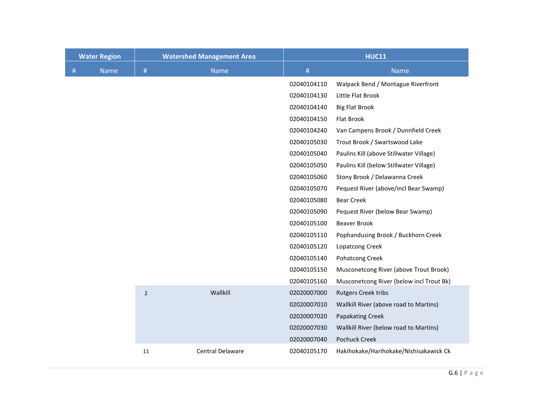|   | <b>Water Region</b> | <b>Watershed Management Area</b> |                  | <b>HUC11</b> |                                          |
|---|---------------------|----------------------------------|------------------|--------------|------------------------------------------|
| # | <b>Name</b>         | $\#$                             | <b>Name</b>      | #            | <b>Name</b>                              |
|   |                     |                                  |                  | 02040104110  | Walpack Bend / Montague Riverfront       |
|   |                     |                                  |                  | 02040104130  | Little Flat Brook                        |
|   |                     |                                  |                  | 02040104140  | <b>Big Flat Brook</b>                    |
|   |                     |                                  |                  | 02040104150  | Flat Brook                               |
|   |                     |                                  |                  | 02040104240  | Van Campens Brook / Dunnfield Creek      |
|   |                     |                                  |                  | 02040105030  | Trout Brook / Swartswood Lake            |
|   |                     |                                  |                  | 02040105040  | Paulins Kill (above Stillwater Village)  |
|   |                     |                                  |                  | 02040105050  | Paulins Kill (below Stillwater Village)  |
|   |                     |                                  |                  | 02040105060  | Stony Brook / Delawanna Creek            |
|   |                     |                                  |                  | 02040105070  | Pequest River (above/incl Bear Swamp)    |
|   |                     |                                  |                  | 02040105080  | <b>Bear Creek</b>                        |
|   |                     |                                  |                  | 02040105090  | Pequest River (below Bear Swamp)         |
|   |                     |                                  |                  | 02040105100  | <b>Beaver Brook</b>                      |
|   |                     |                                  |                  | 02040105110  | Pophandusing Brook / Buckhorn Creek      |
|   |                     |                                  |                  | 02040105120  | Lopatcong Creek                          |
|   |                     |                                  |                  | 02040105140  | <b>Pohatcong Creek</b>                   |
|   |                     |                                  |                  | 02040105150  | Musconetcong River (above Trout Brook)   |
|   |                     |                                  |                  | 02040105160  | Musconetcong River (below incl Trout Bk) |
|   |                     | $\overline{2}$                   | Wallkill         | 02020007000  | <b>Rutgers Creek tribs</b>               |
|   |                     |                                  |                  | 02020007010  | Wallkill River (above road to Martins)   |
|   |                     |                                  |                  | 02020007020  | <b>Papakating Creek</b>                  |
|   |                     |                                  |                  | 02020007030  | Wallkill River (below road to Martins)   |
|   |                     |                                  |                  | 02020007040  | <b>Pochuck Creek</b>                     |
|   |                     | 11                               | Central Delaware | 02040105170  | Hakihokake/Harihokake/Nishisakawick Ck   |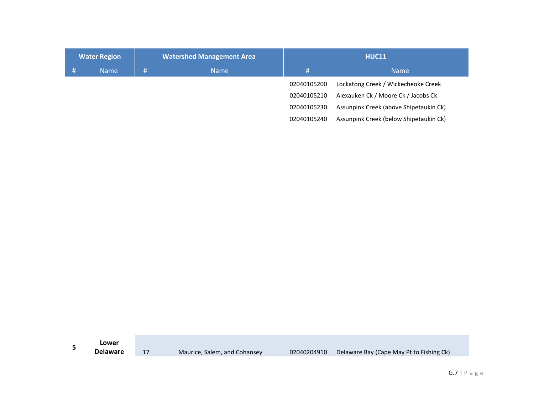| <b>Water Region</b> |             | <b>Watershed Management Area</b> |             | <b>HUC11</b> |                                        |
|---------------------|-------------|----------------------------------|-------------|--------------|----------------------------------------|
|                     | <b>Name</b> | #                                | <b>Name</b> | #            | <b>Name</b>                            |
|                     |             |                                  |             | 02040105200  | Lockatong Creek / Wickecheoke Creek    |
|                     |             |                                  |             | 02040105210  | Alexauken Ck / Moore Ck / Jacobs Ck    |
|                     |             |                                  |             | 02040105230  | Assunpink Creek (above Shipetaukin Ck) |
|                     |             |                                  |             | 02040105240  | Assunpink Creek (below Shipetaukin Ck) |

| Lower           |                              |             |                                          |
|-----------------|------------------------------|-------------|------------------------------------------|
| <b>Delaware</b> | Maurice, Salem, and Cohansey | 02040204910 | Delaware Bay (Cape May Pt to Fishing Ck) |
|                 |                              |             |                                          |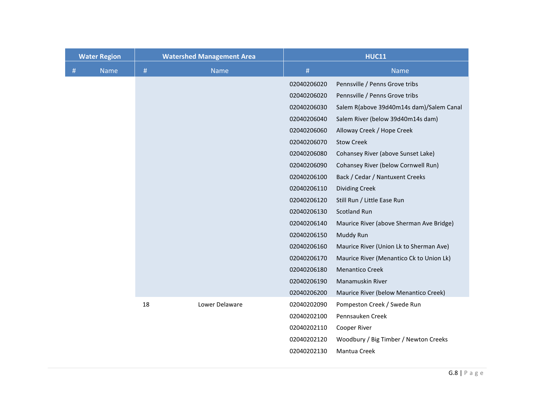|   | <b>Water Region</b> | <b>Watershed Management Area</b> |                | <b>HUC11</b> |                                          |  |
|---|---------------------|----------------------------------|----------------|--------------|------------------------------------------|--|
| # | <b>Name</b>         | #                                | Name           | #            | <b>Name</b>                              |  |
|   |                     |                                  |                | 02040206020  | Pennsville / Penns Grove tribs           |  |
|   |                     |                                  |                | 02040206020  | Pennsville / Penns Grove tribs           |  |
|   |                     |                                  |                | 02040206030  | Salem R(above 39d40m14s dam)/Salem Canal |  |
|   |                     |                                  |                | 02040206040  | Salem River (below 39d40m14s dam)        |  |
|   |                     |                                  |                | 02040206060  | Alloway Creek / Hope Creek               |  |
|   |                     |                                  |                | 02040206070  | <b>Stow Creek</b>                        |  |
|   |                     |                                  |                | 02040206080  | Cohansey River (above Sunset Lake)       |  |
|   |                     |                                  |                | 02040206090  | Cohansey River (below Cornwell Run)      |  |
|   |                     |                                  |                | 02040206100  | Back / Cedar / Nantuxent Creeks          |  |
|   |                     |                                  |                | 02040206110  | <b>Dividing Creek</b>                    |  |
|   |                     |                                  |                | 02040206120  | Still Run / Little Ease Run              |  |
|   |                     |                                  |                | 02040206130  | <b>Scotland Run</b>                      |  |
|   |                     |                                  |                | 02040206140  | Maurice River (above Sherman Ave Bridge) |  |
|   |                     |                                  |                | 02040206150  | Muddy Run                                |  |
|   |                     |                                  |                | 02040206160  | Maurice River (Union Lk to Sherman Ave)  |  |
|   |                     |                                  |                | 02040206170  | Maurice River (Menantico Ck to Union Lk) |  |
|   |                     |                                  |                | 02040206180  | <b>Menantico Creek</b>                   |  |
|   |                     |                                  |                | 02040206190  | Manamuskin River                         |  |
|   |                     |                                  |                | 02040206200  | Maurice River (below Menantico Creek)    |  |
|   |                     | 18                               | Lower Delaware | 02040202090  | Pompeston Creek / Swede Run              |  |
|   |                     |                                  |                | 02040202100  | Pennsauken Creek                         |  |
|   |                     |                                  |                | 02040202110  | Cooper River                             |  |
|   |                     |                                  |                | 02040202120  | Woodbury / Big Timber / Newton Creeks    |  |
|   |                     |                                  |                | 02040202130  | Mantua Creek                             |  |